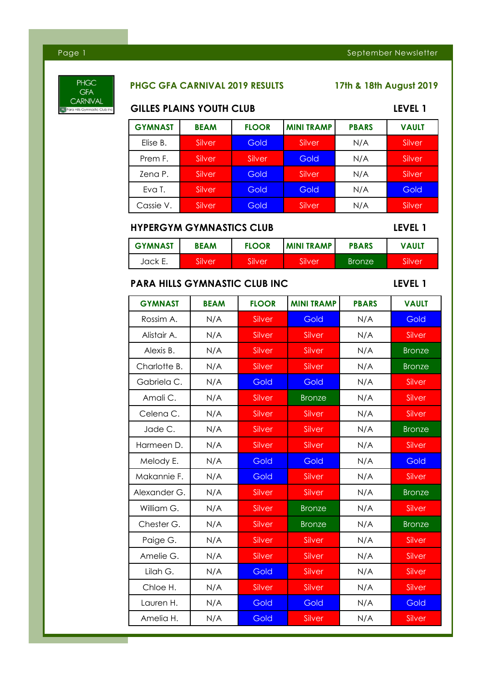# **PHGC GFA** CARNIVAL

# **PHGC GFA CARNIVAL 2019 RESULTS 17th & 18th August 2019**

| <b>GILLES PLAINS YOUTH CLUB</b>      | LEVEL 1     |              |                   |               |               |
|--------------------------------------|-------------|--------------|-------------------|---------------|---------------|
| <b>GYMNAST</b>                       | <b>BEAM</b> | <b>FLOOR</b> | <b>MINI TRAMP</b> | <b>PBARS</b>  | <b>VAULT</b>  |
| Elise B.                             | Silver      | Gold         | Silver            | N/A           | Silver        |
| Prem F.                              | Silver      | Silver       | Gold              | N/A           | Silver        |
| Zena P.                              | Silver      | Gold         | Silver            | N/A           | Silver        |
| Eva T.                               | Silver      | Gold         | Gold              | N/A           | Gold          |
| Cassie V.                            | Silver      | Gold         | Silver            | N/A           | Silver        |
| <b>HYPERGYM GYMNASTICS CLUB</b>      |             |              |                   |               | LEVEL 1       |
| <b>GYMNAST</b>                       | <b>BEAM</b> | <b>FLOOR</b> | <b>MINI TRAMP</b> | <b>PBARS</b>  | <b>VAULT</b>  |
| Jack E.                              | Silver      | Silver       | Silver            | <b>Bronze</b> | Silver        |
| <b>PARA HILLS GYMNASTIC CLUB INC</b> |             |              |                   |               | LEVEL 1       |
| <b>GYMNAST</b>                       | <b>BEAM</b> | <b>FLOOR</b> | <b>MINI TRAMP</b> | <b>PBARS</b>  | <b>VAULT</b>  |
| Rossim A.                            | N/A         | Silver       | Gold              | N/A           | Gold          |
| Alistair A.                          | N/A         | Silver       | Silver            | N/A           | Silver        |
| Alexis B.                            | N/A         | Silver       | Silver            | N/A           | <b>Bronze</b> |
| Charlotte B.                         | N/A         | Silver       | Silver            | N/A           | <b>Bronze</b> |
| Gabriela C.                          | N/A         | Gold         | Gold              | N/A           | Silver        |
| Amali C.                             | N/A         | Silver       | <b>Bronze</b>     | N/A           | Silver        |
| Celena C.                            | N/A         | Silver       | Silver            | N/A           | Silver        |
| Jade C.                              | N/A         | Silver       | Silver            | N/A           | <b>Bronze</b> |
| Harmeen D.                           | N/A         | Silver       | Silver            | N/A           | Silver        |
| Melody E.                            | N/A         | Gold         | Gold              | N/A           | Gold          |
| Makannie F.                          | N/A         | Gold         | Silver            | N/A           | Silver        |
| Alexander G.                         | N/A         | Silver       | Silver            | N/A           | <b>Bronze</b> |
| William G.                           | N/A         | Silver       | <b>Bronze</b>     | N/A           | Silver        |
| Chester G.                           | N/A         | Silver       | <b>Bronze</b>     | N/A           | <b>Bronze</b> |
| Paige G.                             | N/A         | Silver       | Silver            | N/A           | Silver        |
| Amelie G.                            | N/A         | Silver       | Silver            | N/A           | Silver        |
| Lilah G.                             | N/A         | Gold         | Silver            | N/A           | Silver        |
| Chloe H.                             | N/A         | Silver       | Silver            | N/A           | Silver        |
| Lauren H.                            | N/A         | Gold         | Gold              | N/A           | Gold          |
| Amelia H.                            | N/A         | Gold         | Silver            | N/A           | Silver        |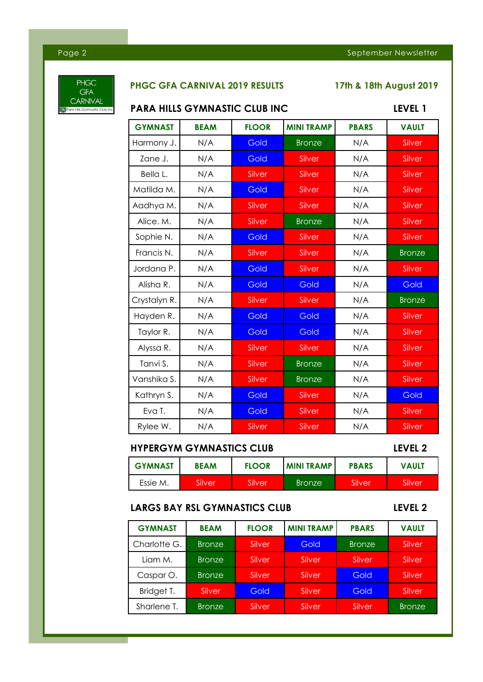

# **PHGC GFA CARNIVAL 2019 RESULTS 17th & 18th August 2019**

# **PARA HILLS GYMNASTIC CLUB INC CLUB INC.** IEVEL 1

| FARA HILLS GTMNASIIC CLUB INC | LEVEL I     |              |                   |              |               |
|-------------------------------|-------------|--------------|-------------------|--------------|---------------|
| <b>GYMNAST</b>                | <b>BEAM</b> | <b>FLOOR</b> | <b>MINI TRAMP</b> | <b>PBARS</b> | <b>VAULT</b>  |
| Harmony J.                    | N/A         | Gold         | <b>Bronze</b>     | N/A          | Silver        |
| Zane J.                       | N/A         | Gold         | Silver            | N/A          | Silver        |
| Bella L.                      | N/A         | Silver       | Silver            | N/A          | Silver        |
| Matilda M.                    | N/A         | Gold         | Silver            | N/A          | Silver        |
| Aadhya M.                     | N/A         | Silver       | Silver            | N/A          | Silver        |
| Alice. M.                     | N/A         | Silver       | <b>Bronze</b>     | N/A          | Silver        |
| Sophie N.                     | N/A         | Gold         | Silver            | N/A          | Silver        |
| Francis N.                    | N/A         | Silver       | Silver            | N/A          | <b>Bronze</b> |
| Jordana P.                    | N/A         | Gold         | Silver            | N/A          | Silver        |
| Alisha R.                     | N/A         | Gold         | Gold              | N/A          | Gold          |
| Crystalyn R.                  | N/A         | Silver       | Silver            | N/A          | <b>Bronze</b> |
| Hayden R.                     | N/A         | Gold         | Gold              | N/A          | Silver        |
| Taylor R.                     | N/A         | Gold         | Gold              | N/A          | Silver        |
| Alyssa R.                     | N/A         | Silver       | Silver            | N/A          | Silver        |
| Tanvi S.                      | N/A         | Silver       | <b>Bronze</b>     | N/A          | Silver        |
| Vanshika S.                   | N/A         | Silver       | <b>Bronze</b>     | N/A          | Silver        |
| Kathryn S.                    | N/A         | Gold         | Silver            | N/A          | Gold          |
| Eva T.                        | N/A         | Gold         | Silver            | N/A          | Silver        |
| Rylee W.                      | N/A         | Silver       | Silver            | N/A          | Silver        |

# **HYPERGYM GYMNASTICS CLUB LEVEL 2**

| <b>GYMNAST</b> | <b>BEAM</b> | <b>FLOOR</b> | <b>MINITRAMP</b> | <b>PBARS</b> | <b>VAULT</b> |
|----------------|-------------|--------------|------------------|--------------|--------------|
| Essie M.       | Silver      | Silver       | <b>Bronze</b>    | Silver       | Silver       |

# **LARGS BAY RSL GYMNASTICS CLUB LEVEL 2**

<u> Tanzania (</u>

| <b>GYMNAST</b> | <b>BEAM</b>   | <b>FLOOR</b> | <b>MINI TRAMP</b> | <b>PBARS</b>  | <b>VAULT</b>  |
|----------------|---------------|--------------|-------------------|---------------|---------------|
| Charlotte G.   | <b>Bronze</b> | Silver       | Gold              | <b>Bronze</b> | Silver        |
| Liam M.        | <b>Bronze</b> | Silver       | Silver            | Silver        | Silver        |
| Caspar O.      | <b>Bronze</b> | Silver       | Silver            | Gold          | Silver        |
| Bridget T.     | Silver        | Gold         | Silver            | Gold          | Silver        |
| Sharlene T.    | <b>Bronze</b> | Silver       | Silver            | Silver        | <b>Bronze</b> |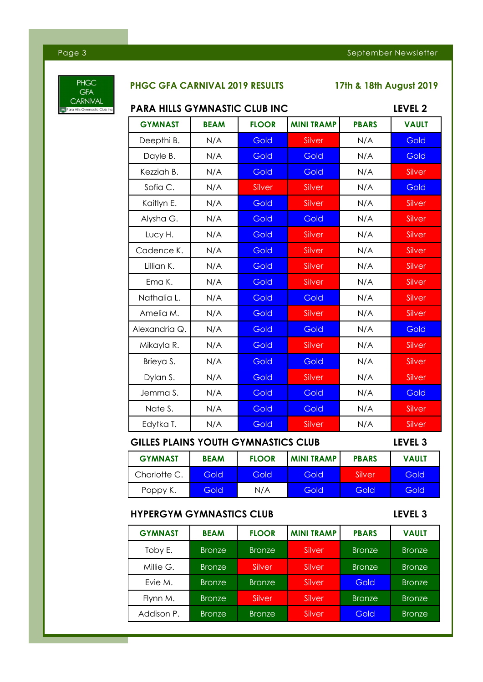

<u> Tanzania (</u>

# **PHGC GFA CARNIVAL 2019 RESULTS 17th & 18th August 2019**

| <b>PARA HILLS GYMNASTIC CLUB INC</b>       | LEVEL <sub>2</sub>                                    |              |                   |              |              |  |  |
|--------------------------------------------|-------------------------------------------------------|--------------|-------------------|--------------|--------------|--|--|
| <b>GYMNAST</b>                             | <b>BEAM</b>                                           | <b>FLOOR</b> | <b>MINI TRAMP</b> | <b>PBARS</b> | <b>VAULT</b> |  |  |
| Deepthi B.                                 | N/A                                                   | Gold         | Silver            | N/A          | Gold         |  |  |
| Dayle B.                                   | N/A                                                   | Gold         | Gold              | N/A          | Gold         |  |  |
| Kezziah B.                                 | N/A                                                   | Gold         | Gold              | N/A          | Silver       |  |  |
| Sofia C.                                   | N/A                                                   | Silver       | Silver            | N/A          | Gold         |  |  |
| Kaitlyn E.                                 | N/A                                                   | Gold         | Silver            | N/A          | Silver       |  |  |
| Alysha G.                                  | N/A                                                   | Gold         | Gold              | N/A          | Silver       |  |  |
| Lucy H.                                    | N/A                                                   | Gold         | Silver            | N/A          | Silver       |  |  |
| Cadence K.                                 | N/A                                                   | Gold         | Silver            | N/A          | Silver       |  |  |
| Lillian K.                                 | N/A                                                   | Gold         | Silver            | N/A          | Silver       |  |  |
| Ema K.                                     | N/A                                                   | Gold         | Silver            | N/A          | Silver       |  |  |
| Nathalia L.                                | N/A                                                   | Gold         | Gold              | N/A          | Silver       |  |  |
| Amelia M.                                  | N/A                                                   | Gold         | Silver            | N/A          | Silver       |  |  |
| Alexandria Q.                              | N/A                                                   | Gold         | Gold              | N/A          | Gold         |  |  |
| Mikayla R.                                 | N/A                                                   | Gold         | Silver            | N/A          | Silver       |  |  |
| Brieya S.                                  | N/A                                                   | Gold         | Gold              | N/A          | Silver       |  |  |
| Dylan S.                                   | N/A                                                   | Gold         | Silver            | N/A          | Silver       |  |  |
| Jemma S.                                   | N/A                                                   | Gold         | Gold              | N/A          | Gold         |  |  |
| Nate S.                                    | N/A                                                   | Gold         | Gold              | N/A          | Silver       |  |  |
| Edytka T.                                  | N/A                                                   | Gold         | Silver            | N/A          | Silver       |  |  |
| <b>GILLES PLAINS YOUTH GYMNASTICS CLUB</b> | LEVEL <sub>3</sub>                                    |              |                   |              |              |  |  |
| <b>GYMNAST</b>                             | <b>BEAM</b>                                           | <b>FLOOR</b> | <b>MINI TRAMP</b> | <b>PBARS</b> | <b>VAULT</b> |  |  |
| Charlotte C.                               | Gold                                                  | Gold         | Gold              | Silver       | Gold         |  |  |
| Poppy K.                                   | Gold                                                  | N/A          | Gold              | Gold         | Gold         |  |  |
|                                            | LEVEL <sub>3</sub><br><b>HYPERGYM GYMNASTICS CLUB</b> |              |                   |              |              |  |  |

| <b>GYMNAST</b> | <b>BEAM</b>   | <b>FLOOR</b>  | <b>MINI TRAMP</b> | <b>PBARS</b>  | <b>VAULT</b>  |
|----------------|---------------|---------------|-------------------|---------------|---------------|
| Toby E.        | <b>Bronze</b> | <b>Bronze</b> | Silver            | <b>Bronze</b> | <b>Bronze</b> |
| Millie G.      | <b>Bronze</b> | Silver        | Silver            | <b>Bronze</b> | <b>Bronze</b> |
| Evie M.        | <b>Bronze</b> | <b>Bronze</b> | Silver            | Gold          | <b>Bronze</b> |
| Flynn M.       | <b>Bronze</b> | Silver        | Silver            | <b>Bronze</b> | <b>Bronze</b> |
| Addison P.     | <b>Bronze</b> | <b>Bronze</b> | Silver            | Gold          | <b>Bronze</b> |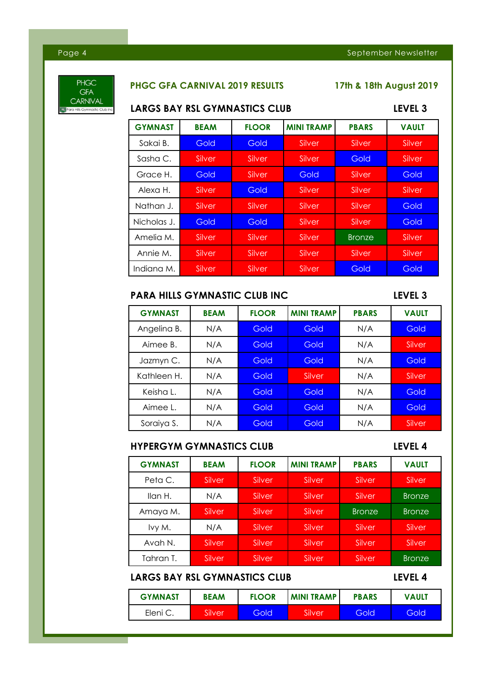

### **PHGC GFA CARNIVAL 2019 RESULTS 17th & 18th August 2019**

### **LARGS BAY RSL GYMNASTICS CLUB LEVEL 3**

| <b>GYMNAST</b> | <b>BEAM</b> | <b>FLOOR</b> | <b>MINI TRAMP</b> | <b>PBARS</b>  | <b>VAULT</b> |
|----------------|-------------|--------------|-------------------|---------------|--------------|
| Sakai B.       | Gold        | Gold         | Silver            | Silver        | Silver       |
| Sasha C.       | Silver      | Silver       | Silver            | Gold          | Silver       |
| Grace H.       | Gold        | Silver       | Gold              | Silver        | Gold         |
| Alexa H.       | Silver      | Gold         | Silver            | Silver        | Silver       |
| Nathan J.      | Silver      | Silver       | Silver            | Silver        | Gold         |
| Nicholas J.    | Gold        | Gold         | Silver            | Silver        | Gold         |
| Amelia M.      | Silver      | Silver       | Silver            | <b>Bronze</b> | Silver       |
| Annie M.       | Silver      | Silver       | Silver            | Silver        | Silver       |
| Indiana M.     | Silver      | Silver       | Silver            | Gold          | Gold         |

### **PARA HILLS GYMNASTIC CLUB INC LEVEL 3**

| <b>GYMNAST</b> | <b>BEAM</b> | <b>FLOOR</b> | <b>MINI TRAMP</b> | <b>PBARS</b> | <b>VAULT</b> |
|----------------|-------------|--------------|-------------------|--------------|--------------|
| Angelina B.    | N/A         | Gold         | Gold              | N/A          | Gold         |
| Aimee B.       | N/A         | Gold         | Gold              | N/A          | Silver       |
| Jazmyn C.      | N/A         | Gold         | Gold              | N/A          | Gold         |
| Kathleen H.    | N/A         | Gold         | Silver            | N/A          | Silver       |
| Keisha L.      | N/A         | Gold         | Gold              | N/A          | Gold         |
| Aimee L        | N/A         | Gold         | Gold              | N/A          | Gold         |
| Soraiya S.     | N/A         | Gold         | Gold              | N/A          | Silver       |

# **HYPERGYM GYMNASTICS CLUB LEVEL 4**

| <b>GYMNAST</b> | <b>BEAM</b> | <b>FLOOR</b> | <b>MINI TRAMP</b> | <b>PBARS</b>  | <b>VAULT</b>  |
|----------------|-------------|--------------|-------------------|---------------|---------------|
| Peta C.        | Silver      | Silver       | Silver            | Silver        | Silver        |
| Ilan H.        | N/A         | Silver       | Silver            | Silver        | <b>Bronze</b> |
| Amaya M.       | Silver      | Silver       | Silver            | <b>Bronze</b> | <b>Bronze</b> |
| Ivy M.         | N/A         | Silver       | Silver            | Silver        | Silver        |
| Avah N.        | Silver      | Silver       | Silver            | Silver        | Silver        |
| Tahran T.      | Silver      | Silver       | Silver            | Silver        | <b>Bronze</b> |

# **LARGS BAY RSL GYMNASTICS CLUB LEVEL 4**

| <b>GYMNAST</b> | <b>BEAM</b> | <b>FLOOR</b> | <b>MINI TRAMP</b> | <b>PBARS</b> | <b>VAULT</b> |
|----------------|-------------|--------------|-------------------|--------------|--------------|
| Eleni C        | Silver      | Gold         | Silver            | Gold         | Gold         |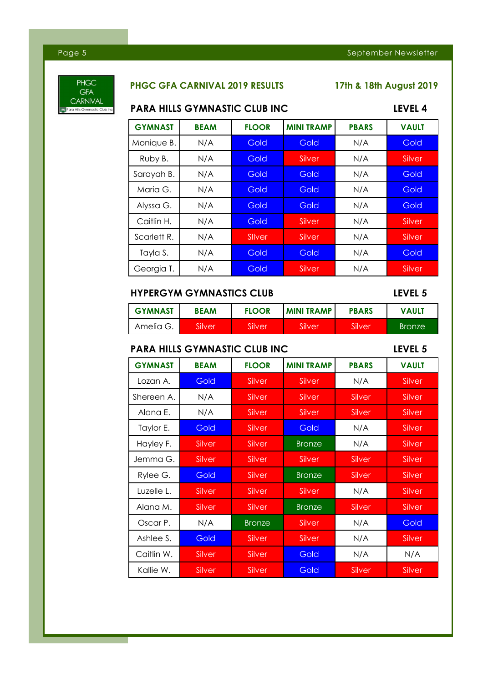

# **PHGC GFA CARNIVAL 2019 RESULTS 17th & 18th August 2019**

# **PARA HILLS GYMNASTIC CLUB INC LEVEL 4**

| <b>GYMNAST</b> | <b>BEAM</b> | <b>FLOOR</b> | <b>MINI TRAMP</b> | <b>PBARS</b> | <b>VAULT</b> |
|----------------|-------------|--------------|-------------------|--------------|--------------|
| Monique B.     | N/A         | Gold         | Gold              | N/A          | Gold         |
| Ruby B.        | N/A         | Gold         | Silver            | N/A          | Silver       |
| Sarayah B.     | N/A         | Gold         | Gold              | N/A          | Gold         |
| Maria G.       | N/A         | Gold         | Gold              | N/A          | Gold         |
| Alyssa G.      | N/A         | Gold         | Gold              | N/A          | Gold         |
| Caitlin H.     | N/A         | Gold         | Silver            | N/A          | Silver       |
| Scarlett R.    | N/A         | Sliver       | Silver            | N/A          | Silver       |
| Tayla S.       | N/A         | Gold         | Gold              | N/A          | Gold         |
| Georgia T.     | N/A         | Gold         | Silver            | N/A          | Silver       |

### **HYPERGYM GYMNASTICS CLUB LEVEL 5**

| <b>GYMNAST</b> | <b>BEAM</b> | <b>FLOOR</b> | <b>MINI TRAMP</b> | <b>PBARS</b> | <b>VAULT</b>  |
|----------------|-------------|--------------|-------------------|--------------|---------------|
| Amelia G.      | Silver      | Silver       | Silver            | Silver       | <b>Bronze</b> |

### **PARA HILLS GYMNASTIC CLUB INC LEVEL 5**

| <b>GYMNAST</b> | <b>BEAM</b> | <b>FLOOR</b>  | <b>MINI TRAMP</b> | <b>PBARS</b> | <b>VAULT</b> |
|----------------|-------------|---------------|-------------------|--------------|--------------|
| Lozan A.       | Gold        | Silver        | Silver            | N/A          | Silver       |
| Shereen A.     | N/A         | Silver        | Silver            | Silver       | Silver       |
| Alana E.       | N/A         | Silver        | Silver            | Silver       | Silver       |
| Taylor E.      | Gold        | Silver        | Gold              | N/A          | Silver       |
| Hayley F.      | Silver      | Silver        | <b>Bronze</b>     | N/A          | Silver       |
| Jemma G.       | Silver      | Silver        | Silver            | Silver       | Silver       |
| Rylee G.       | Gold        | Silver        | <b>Bronze</b>     | Silver       | Silver       |
| Luzelle L.     | Silver      | Silver        | Silver            | N/A          | Silver       |
| Alana M.       | Silver      | <b>Silver</b> | <b>Bronze</b>     | Silver       | Silver       |
| Oscar P.       | N/A         | <b>Bronze</b> | Silver            | N/A          | Gold         |
| Ashlee S.      | Gold        | Silver        | Silver            | N/A          | Silver       |
| Caitlin W.     | Silver      | Silver        | Gold              | N/A          | N/A          |
| Kallie W.      | Silver      | Silver        | Gold              | Silver       | Silver       |